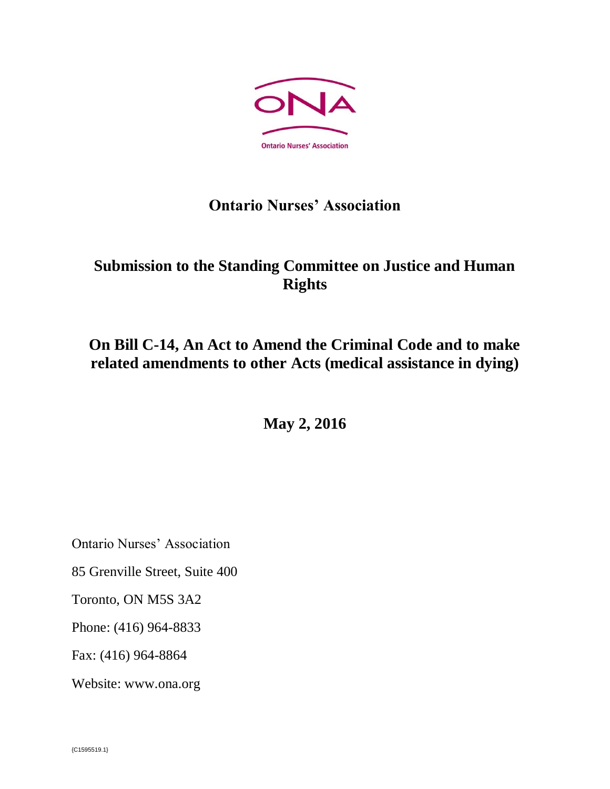

### **Ontario Nurses' Association**

## **Submission to the Standing Committee on Justice and Human Rights**

# **On Bill C-14, An Act to Amend the Criminal Code and to make related amendments to other Acts (medical assistance in dying)**

**May 2, 2016**

Ontario Nurses' Association

85 Grenville Street, Suite 400

Toronto, ON M5S 3A2

Phone: (416) 964-8833

Fax: (416) 964-8864

Website: www.ona.org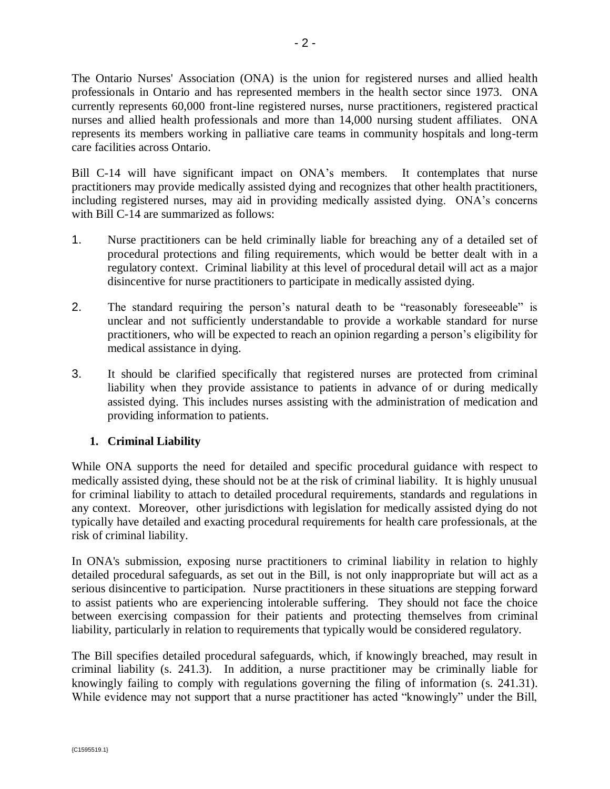The Ontario Nurses' Association (ONA) is the union for registered nurses and allied health professionals in Ontario and has represented members in the health sector since 1973. ONA currently represents 60,000 front-line registered nurses, nurse practitioners, registered practical nurses and allied health professionals and more than 14,000 nursing student affiliates. ONA represents its members working in palliative care teams in community hospitals and long-term care facilities across Ontario.

Bill C-14 will have significant impact on ONA's members. It contemplates that nurse practitioners may provide medically assisted dying and recognizes that other health practitioners, including registered nurses, may aid in providing medically assisted dying. ONA's concerns with Bill C-14 are summarized as follows:

- 1. Nurse practitioners can be held criminally liable for breaching any of a detailed set of procedural protections and filing requirements, which would be better dealt with in a regulatory context. Criminal liability at this level of procedural detail will act as a major disincentive for nurse practitioners to participate in medically assisted dying.
- 2. The standard requiring the person's natural death to be "reasonably foreseeable" is unclear and not sufficiently understandable to provide a workable standard for nurse practitioners, who will be expected to reach an opinion regarding a person's eligibility for medical assistance in dying.
- 3. It should be clarified specifically that registered nurses are protected from criminal liability when they provide assistance to patients in advance of or during medically assisted dying. This includes nurses assisting with the administration of medication and providing information to patients.

### **1. Criminal Liability**

While ONA supports the need for detailed and specific procedural guidance with respect to medically assisted dying, these should not be at the risk of criminal liability. It is highly unusual for criminal liability to attach to detailed procedural requirements, standards and regulations in any context. Moreover, other jurisdictions with legislation for medically assisted dying do not typically have detailed and exacting procedural requirements for health care professionals, at the risk of criminal liability.

In ONA's submission, exposing nurse practitioners to criminal liability in relation to highly detailed procedural safeguards, as set out in the Bill, is not only inappropriate but will act as a serious disincentive to participation. Nurse practitioners in these situations are stepping forward to assist patients who are experiencing intolerable suffering. They should not face the choice between exercising compassion for their patients and protecting themselves from criminal liability, particularly in relation to requirements that typically would be considered regulatory.

The Bill specifies detailed procedural safeguards, which, if knowingly breached, may result in criminal liability (s. 241.3). In addition, a nurse practitioner may be criminally liable for knowingly failing to comply with regulations governing the filing of information (s. 241.31). While evidence may not support that a nurse practitioner has acted "knowingly" under the Bill,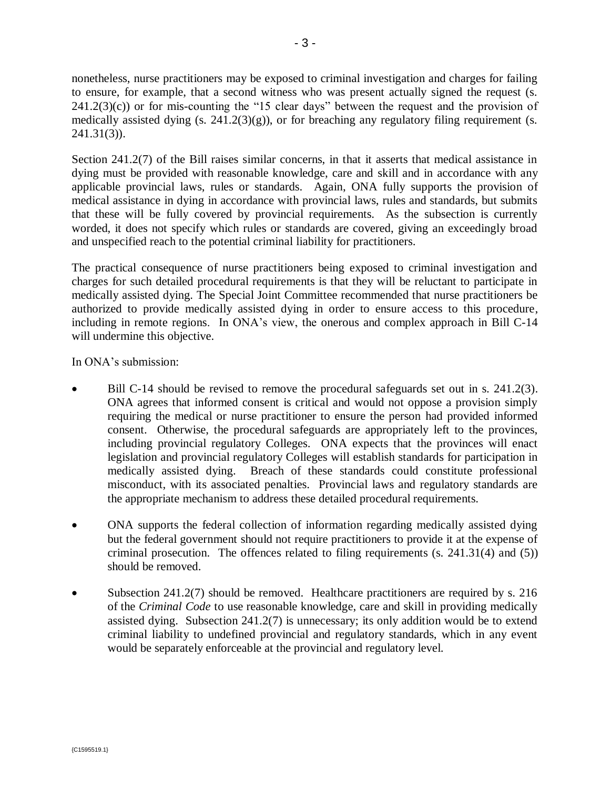nonetheless, nurse practitioners may be exposed to criminal investigation and charges for failing to ensure, for example, that a second witness who was present actually signed the request (s.  $241.2(3)(c)$ ) or for mis-counting the "15 clear days" between the request and the provision of medically assisted dying  $(s. 241.2(3)(g))$ , or for breaching any regulatory filing requirement  $(s. 241.2(3)(g))$ 241.31(3)).

Section 241.2(7) of the Bill raises similar concerns, in that it asserts that medical assistance in dying must be provided with reasonable knowledge, care and skill and in accordance with any applicable provincial laws, rules or standards. Again, ONA fully supports the provision of medical assistance in dying in accordance with provincial laws, rules and standards, but submits that these will be fully covered by provincial requirements. As the subsection is currently worded, it does not specify which rules or standards are covered, giving an exceedingly broad and unspecified reach to the potential criminal liability for practitioners.

The practical consequence of nurse practitioners being exposed to criminal investigation and charges for such detailed procedural requirements is that they will be reluctant to participate in medically assisted dying. The Special Joint Committee recommended that nurse practitioners be authorized to provide medically assisted dying in order to ensure access to this procedure, including in remote regions. In ONA's view, the onerous and complex approach in Bill C-14 will undermine this objective.

In ONA's submission:

- Bill C-14 should be revised to remove the procedural safeguards set out in s. 241.2(3). ONA agrees that informed consent is critical and would not oppose a provision simply requiring the medical or nurse practitioner to ensure the person had provided informed consent. Otherwise, the procedural safeguards are appropriately left to the provinces, including provincial regulatory Colleges. ONA expects that the provinces will enact legislation and provincial regulatory Colleges will establish standards for participation in medically assisted dying. Breach of these standards could constitute professional misconduct, with its associated penalties. Provincial laws and regulatory standards are the appropriate mechanism to address these detailed procedural requirements.
- ONA supports the federal collection of information regarding medically assisted dying but the federal government should not require practitioners to provide it at the expense of criminal prosecution. The offences related to filing requirements (s. 241.31(4) and (5)) should be removed.
- Subsection 241.2(7) should be removed. Healthcare practitioners are required by s. 216 of the *Criminal Code* to use reasonable knowledge, care and skill in providing medically assisted dying. Subsection 241.2(7) is unnecessary; its only addition would be to extend criminal liability to undefined provincial and regulatory standards, which in any event would be separately enforceable at the provincial and regulatory level.